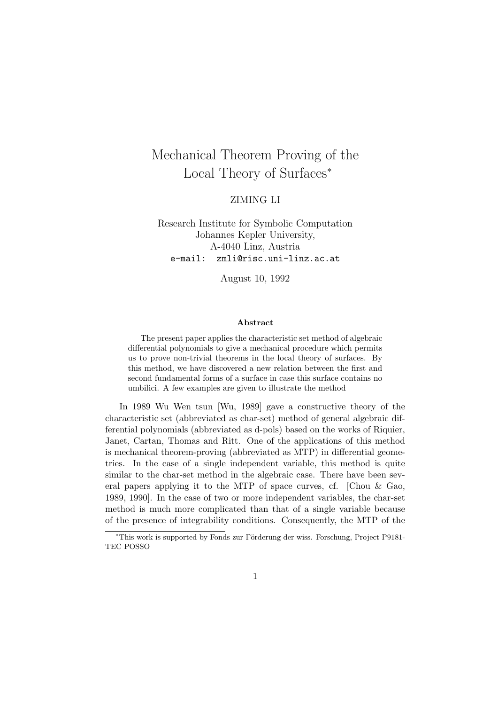# Mechanical Theorem Proving of the Local Theory of Surfaces<sup>∗</sup>

### ZIMING LI

Research Institute for Symbolic Computation Johannes Kepler University, A-4040 Linz, Austria e-mail: zmli@risc.uni-linz.ac.at

August 10, 1992

#### Abstract

The present paper applies the characteristic set method of algebraic differential polynomials to give a mechanical procedure which permits us to prove non-trivial theorems in the local theory of surfaces. By this method, we have discovered a new relation between the first and second fundamental forms of a surface in case this surface contains no umbilici. A few examples are given to illustrate the method

In 1989 Wu Wen tsun [Wu, 1989] gave a constructive theory of the characteristic set (abbreviated as char-set) method of general algebraic differential polynomials (abbreviated as d-pols) based on the works of Riquier, Janet, Cartan, Thomas and Ritt. One of the applications of this method is mechanical theorem-proving (abbreviated as MTP) in differential geometries. In the case of a single independent variable, this method is quite similar to the char-set method in the algebraic case. There have been several papers applying it to the MTP of space curves, cf. [Chou & Gao, 1989, 1990]. In the case of two or more independent variables, the char-set method is much more complicated than that of a single variable because of the presence of integrability conditions. Consequently, the MTP of the

<sup>\*</sup>This work is supported by Fonds zur Förderung der wiss. Forschung, Project P9181-TEC POSSO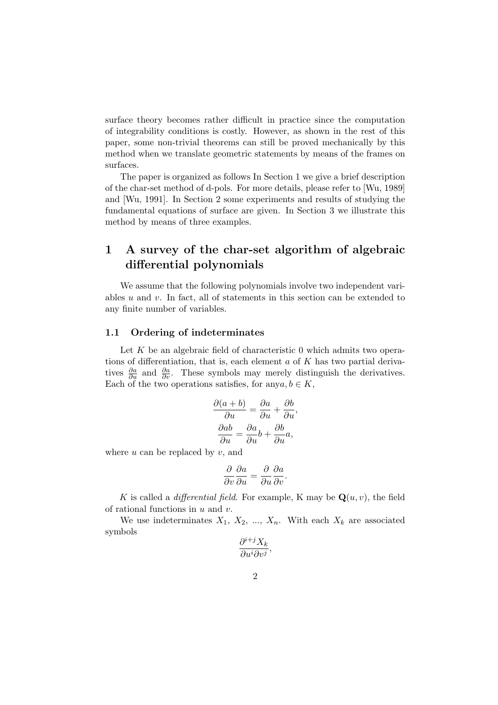surface theory becomes rather difficult in practice since the computation of integrability conditions is costly. However, as shown in the rest of this paper, some non-trivial theorems can still be proved mechanically by this method when we translate geometric statements by means of the frames on surfaces.

The paper is organized as follows In Section 1 we give a brief description of the char-set method of d-pols. For more details, please refer to [Wu, 1989] and [Wu, 1991]. In Section 2 some experiments and results of studying the fundamental equations of surface are given. In Section 3 we illustrate this method by means of three examples.

# 1 A survey of the char-set algorithm of algebraic differential polynomials

We assume that the following polynomials involve two independent variables  $u$  and  $v$ . In fact, all of statements in this section can be extended to any finite number of variables.

#### 1.1 Ordering of indeterminates

Let  $K$  be an algebraic field of characteristic 0 which admits two operations of differentiation, that is, each element  $a$  of  $K$  has two partial derivatives  $\frac{\partial a}{\partial u}$  and  $\frac{\partial a}{\partial v}$ . These symbols may merely distinguish the derivatives. Each of the two operations satisfies, for any  $a, b \in K$ ,

$$
\frac{\partial(a+b)}{\partial u} = \frac{\partial a}{\partial u} + \frac{\partial b}{\partial u},
$$

$$
\frac{\partial ab}{\partial u} = \frac{\partial a}{\partial u}b + \frac{\partial b}{\partial u}a,
$$

where  $u$  can be replaced by  $v$ , and

$$
\frac{\partial}{\partial v}\frac{\partial a}{\partial u} = \frac{\partial}{\partial u}\frac{\partial a}{\partial v}.
$$

K is called a *differential field*. For example, K may be  $\mathbf{Q}(u, v)$ , the field of rational functions in  $u$  and  $v$ .

We use indeterminates  $X_1, X_2, ..., X_n$ . With each  $X_k$  are associated symbols

$$
\frac{\partial^{i+j}X_k}{\partial u^i \partial v^j},
$$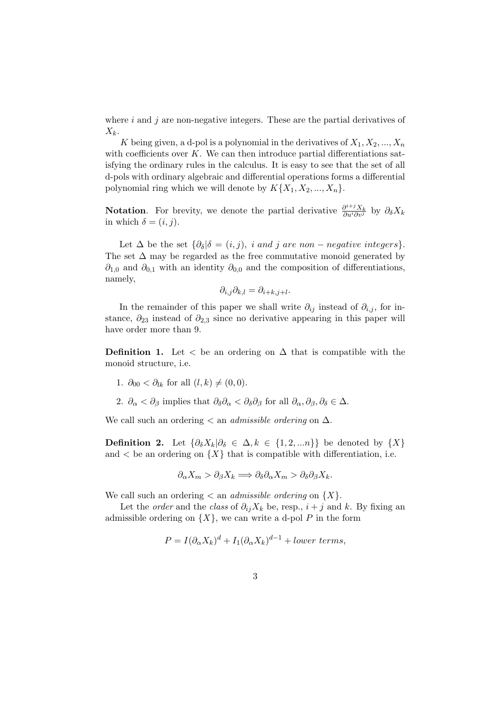where  $i$  and  $j$  are non-negative integers. These are the partial derivatives of  $X_k$ .

K being given, a d-pol is a polynomial in the derivatives of  $X_1, X_2, ..., X_n$ with coefficients over  $K$ . We can then introduce partial differentiations satisfying the ordinary rules in the calculus. It is easy to see that the set of all d-pols with ordinary algebraic and differential operations forms a differential polynomial ring which we will denote by  $K\{X_1, X_2, ..., X_n\}.$ 

**Notation.** For brevity, we denote the partial derivative  $\frac{\partial^{i+j}X_k}{\partial u^i \partial v^j}$  by  $\partial_{\delta}X_k$ in which  $\delta = (i, j)$ .

Let  $\Delta$  be the set  $\{\partial_{\delta} | \delta = (i, j), i \text{ and } j \text{ are non-negative integers}\}.$ The set  $\Delta$  may be regarded as the free commutative monoid generated by  $\partial_{1,0}$  and  $\partial_{0,1}$  with an identity  $\partial_{0,0}$  and the composition of differentiations, namely,

$$
\partial_{i,j}\partial_{k,l} = \partial_{i+k,j+l}.
$$

In the remainder of this paper we shall write  $\partial_{ij}$  instead of  $\partial_{i,j}$ , for instance,  $\partial_{23}$  instead of  $\partial_{2,3}$  since no derivative appearing in this paper will have order more than 9.

**Definition 1.** Let  $\lt$  be an ordering on  $\Delta$  that is compatible with the monoid structure, i.e.

- 1.  $\partial_{00} < \partial_{lk}$  for all  $(l, k) \neq (0, 0)$ .
- 2.  $\partial_{\alpha} < \partial_{\beta}$  implies that  $\partial_{\delta} \partial_{\alpha} < \partial_{\delta} \partial_{\beta}$  for all  $\partial_{\alpha}, \partial_{\beta}, \partial_{\delta} \in \Delta$ .

We call such an ordering  $\lt$  an *admissible ordering* on  $\Delta$ .

**Definition 2.** Let  $\{\partial_{\delta}X_k|\partial_{\delta} \in \Delta, k \in \{1, 2, ...\} \}$  be denoted by  $\{X\}$ and  $\langle$  be an ordering on  $\{X\}$  that is compatible with differentiation, i.e.

$$
\partial_{\alpha} X_m > \partial_{\beta} X_k \Longrightarrow \partial_{\delta} \partial_{\alpha} X_m > \partial_{\delta} \partial_{\beta} X_k.
$$

We call such an ordering  $\langle$  an *admissible ordering* on  $\{X\}$ .

Let the *order* and the *class* of  $\partial_{ij}X_k$  be, resp.,  $i + j$  and k. By fixing an admissible ordering on  $\{X\}$ , we can write a d-pol P in the form

$$
P = I(\partial_{\alpha}X_k)^d + I_1(\partial_{\alpha}X_k)^{d-1} + lower \ terms,
$$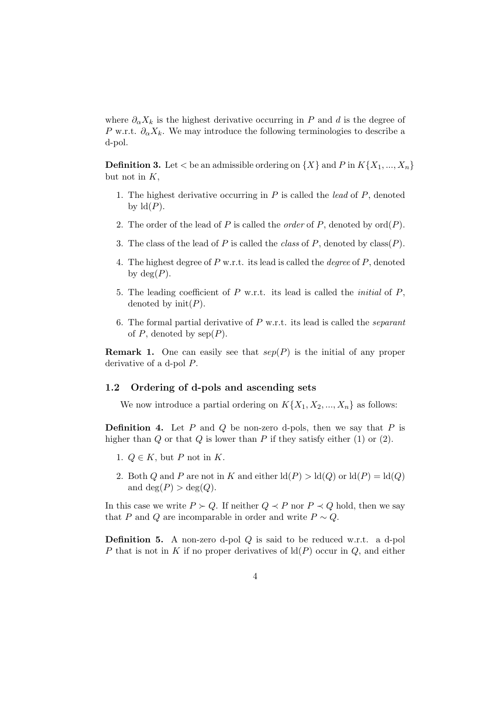where  $\partial_{\alpha}X_k$  is the highest derivative occurring in P and d is the degree of P w.r.t.  $\partial_{\alpha}X_{k}$ . We may introduce the following terminologies to describe a d-pol.

**Definition 3.** Let  $\lt$  be an admissible ordering on  $\{X\}$  and P in  $K\{X_1, ..., X_n\}$ but not in  $K$ ,

- 1. The highest derivative occurring in  $P$  is called the *lead* of  $P$ , denoted by  $ld(P)$ .
- 2. The order of the lead of P is called the *order* of P, denoted by  $\text{ord}(P)$ .
- 3. The class of the lead of P is called the *class* of P, denoted by  $\text{class}(P)$ .
- 4. The highest degree of  $P$  w.r.t. its lead is called the *degree* of  $P$ , denoted by  $deg(P)$ .
- 5. The leading coefficient of  $P$  w.r.t. its lead is called the *initial* of  $P$ , denoted by  $init(P)$ .
- 6. The formal partial derivative of  $P$  w.r.t. its lead is called the *separant* of  $P$ , denoted by  $sep(P)$ .

**Remark 1.** One can easily see that  $\text{sep}(P)$  is the initial of any proper derivative of a d-pol P.

#### 1.2 Ordering of d-pols and ascending sets

We now introduce a partial ordering on  $K\{X_1, X_2, ..., X_n\}$  as follows:

**Definition 4.** Let  $P$  and  $Q$  be non-zero d-pols, then we say that  $P$  is higher than  $Q$  or that  $Q$  is lower than  $P$  if they satisfy either (1) or (2).

- 1.  $Q \in K$ , but P not in K.
- 2. Both Q and P are not in K and either  $\text{Id}(P) > \text{Id}(Q)$  or  $\text{Id}(P) = \text{Id}(Q)$ and  $deg(P) > deg(Q)$ .

In this case we write  $P \succ Q$ . If neither  $Q \prec P$  nor  $P \prec Q$  hold, then we say that P and Q are incomparable in order and write  $P \sim Q$ .

Definition 5. A non-zero d-pol Q is said to be reduced w.r.t. a d-pol P that is not in K if no proper derivatives of  $ld(P)$  occur in Q, and either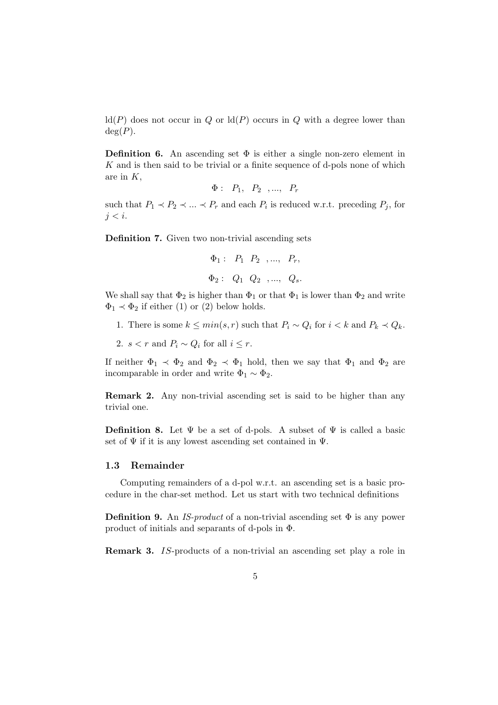$ld(P)$  does not occur in Q or  $ld(P)$  occurs in Q with a degree lower than  $deg(P)$ .

**Definition 6.** An ascending set  $\Phi$  is either a single non-zero element in  $K$  and is then said to be trivial or a finite sequence of d-pols none of which are in  $K$ ,

$$
\Phi: P_1, P_2, \ldots, P_r
$$

such that  $P_1 \prec P_2 \prec \ldots \prec P_r$  and each  $P_i$  is reduced w.r.t. preceding  $P_j$ , for  $i < i$ .

Definition 7. Given two non-trivial ascending sets

$$
\Phi_1: P_1 P_2, ..., P_r,
$$
  

$$
\Phi_2: Q_1 Q_2, ..., Q_s.
$$

We shall say that  $\Phi_2$  is higher than  $\Phi_1$  or that  $\Phi_1$  is lower than  $\Phi_2$  and write  $\Phi_1 \prec \Phi_2$  if either (1) or (2) below holds.

- 1. There is some  $k \leq min(s,r)$  such that  $P_i \sim Q_i$  for  $i < k$  and  $P_k \prec Q_k$ .
- 2. s < r and  $P_i \sim Q_i$  for all  $i \leq r$ .

If neither  $\Phi_1 \prec \Phi_2$  and  $\Phi_2 \prec \Phi_1$  hold, then we say that  $\Phi_1$  and  $\Phi_2$  are incomparable in order and write  $\Phi_1 \sim \Phi_2$ .

Remark 2. Any non-trivial ascending set is said to be higher than any trivial one.

**Definition 8.** Let  $\Psi$  be a set of d-pols. A subset of  $\Psi$  is called a basic set of  $\Psi$  if it is any lowest ascending set contained in  $\Psi$ .

#### 1.3 Remainder

Computing remainders of a d-pol w.r.t. an ascending set is a basic procedure in the char-set method. Let us start with two technical definitions

**Definition 9.** An IS-product of a non-trivial ascending set  $\Phi$  is any power product of initials and separants of d-pols in Φ.

Remark 3. IS-products of a non-trivial an ascending set play a role in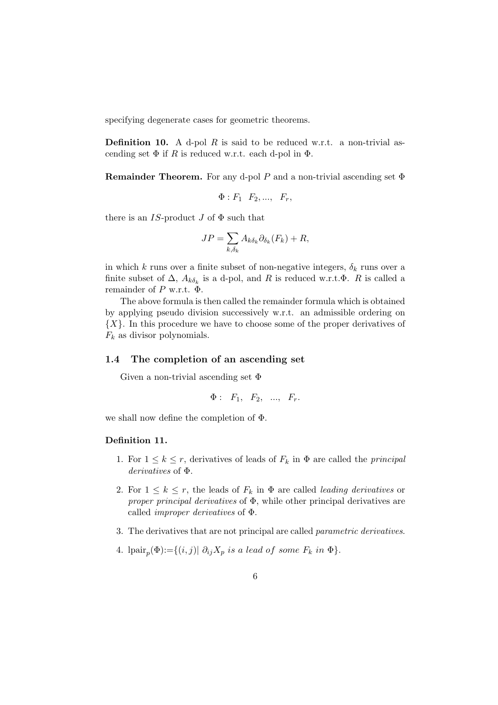specifying degenerate cases for geometric theorems.

**Definition 10.** A d-pol R is said to be reduced w.r.t. a non-trivial ascending set  $\Phi$  if R is reduced w.r.t. each d-pol in  $\Phi$ .

**Remainder Theorem.** For any d-pol P and a non-trivial ascending set  $\Phi$ 

$$
\Phi: F_1 \quad F_2, \ldots, \quad F_r,
$$

there is an IS-product J of  $\Phi$  such that

$$
JP = \sum_{k,\delta_k} A_{k\delta_k} \partial_{\delta_k}(F_k) + R,
$$

in which k runs over a finite subset of non-negative integers,  $\delta_k$  runs over a finite subset of  $\Delta$ ,  $A_{k\delta_k}$  is a d-pol, and R is reduced w.r.t. $\Phi$ . R is called a remainder of P w.r.t.  $\Phi$ .

The above formula is then called the remainder formula which is obtained by applying pseudo division successively w.r.t. an admissible ordering on  $\{X\}$ . In this procedure we have to choose some of the proper derivatives of  $F_k$  as divisor polynomials.

#### 1.4 The completion of an ascending set

Given a non-trivial ascending set  $\Phi$ 

$$
\Phi: F_1, F_2, \ldots, F_r.
$$

we shall now define the completion of Φ.

#### Definition 11.

- 1. For  $1 \leq k \leq r$ , derivatives of leads of  $F_k$  in  $\Phi$  are called the *principal* derivatives of Φ.
- 2. For  $1 \leq k \leq r$ , the leads of  $F_k$  in  $\Phi$  are called *leading derivatives* or proper principal derivatives of  $\Phi$ , while other principal derivatives are called improper derivatives of Φ.
- 3. The derivatives that are not principal are called parametric derivatives.
- 4. lpair<sub>p</sub> $(\Phi) := \{(i, j) | \partial_{ij} X_p \text{ is a lead of some } F_k \text{ in } \Phi\}.$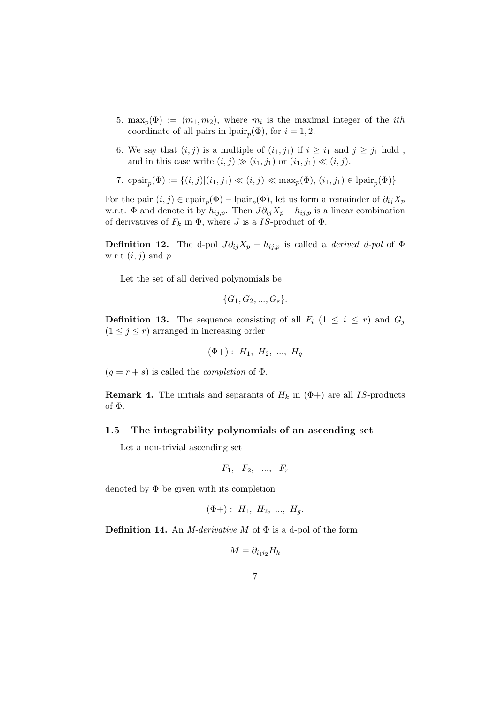- 5. max<sub>p</sub>( $\Phi$ ) :=  $(m_1, m_2)$ , where  $m_i$  is the maximal integer of the *ith* coordinate of all pairs in  $\text{pair}_p(\Phi)$ , for  $i = 1, 2$ .
- 6. We say that  $(i, j)$  is a multiple of  $(i_1, j_1)$  if  $i \geq i_1$  and  $j \geq j_1$  hold, and in this case write  $(i, j) \gg (i_1, j_1)$  or  $(i_1, j_1) \ll (i, j)$ .
- 7. cpair<sub>p</sub>( $\Phi$ ) := {(*i*, *j*)|(*i*<sub>1</sub>, *j*<sub>1</sub>)  $\ll$  (*i*, *j*)  $\ll$  max<sub>p</sub>( $\Phi$ ), (*i*<sub>1</sub>, *j*<sub>1</sub>)  $\in$  lpair<sub>p</sub>( $\Phi$ )}

For the pair  $(i, j) \in \text{cpair}_p(\Phi) - \text{pair}_p(\Phi)$ , let us form a remainder of  $\partial_{ij} X_p$ w.r.t.  $\Phi$  and denote it by  $h_{ij,p}$ . Then  $J\partial_{ij}X_p - h_{ij,p}$  is a linear combination of derivatives of  $F_k$  in  $\Phi$ , where J is a IS-product of  $\Phi$ .

**Definition 12.** The d-pol  $J\partial_{ij}X_p - h_{ij,p}$  is called a *derived d-pol* of  $\Phi$ w.r.t  $(i, j)$  and  $p$ .

Let the set of all derived polynomials be

$$
\{G_1, G_2, ..., G_s\}.
$$

**Definition 13.** The sequence consisting of all  $F_i$  ( $1 \leq i \leq r$ ) and  $G_j$  $(1 \leq j \leq r)$  arranged in increasing order

$$
(\Phi +)
$$
:  $H_1$ ,  $H_2$ , ...,  $H_g$ 

 $(g = r + s)$  is called the *completion* of  $\Phi$ .

**Remark 4.** The initials and separants of  $H_k$  in  $(\Phi+)$  are all IS-products of Φ.

#### 1.5 The integrability polynomials of an ascending set

Let a non-trivial ascending set

$$
F_1, F_2, \ldots, F_r
$$

denoted by  $\Phi$  be given with its completion

$$
(\Phi +)
$$
:  $H_1$ ,  $H_2$ , ...,  $H_g$ .

**Definition 14.** An *M*-derivative *M* of  $\Phi$  is a d-pol of the form

$$
M = \partial_{i_1 i_2} H_k
$$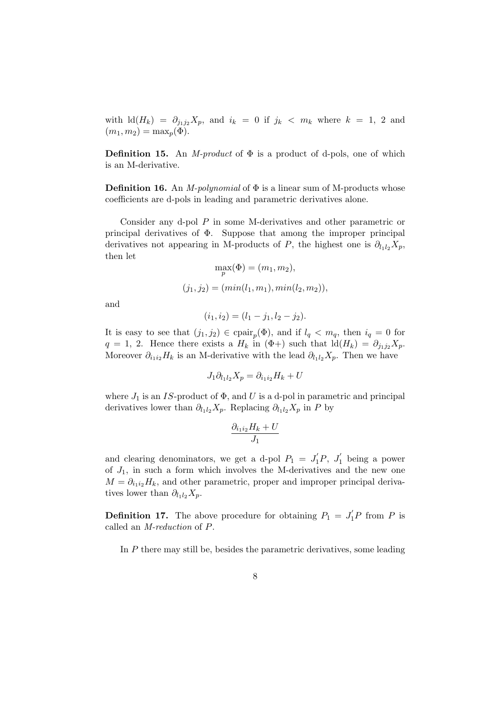with  $\mathrm{Id}(H_k) = \partial_{j_1j_2}X_p$ , and  $i_k = 0$  if  $j_k < m_k$  where  $k = 1, 2$  and  $(m_1, m_2) = \max_p(\Phi).$ 

**Definition 15.** An *M-product* of  $\Phi$  is a product of d-pols, one of which is an M-derivative.

**Definition 16.** An *M-polynomial* of  $\Phi$  is a linear sum of M-products whose coefficients are d-pols in leading and parametric derivatives alone.

Consider any d-pol P in some M-derivatives and other parametric or principal derivatives of Φ. Suppose that among the improper principal derivatives not appearing in M-products of P, the highest one is  $\partial_{l_1l_2}X_p$ , then let

$$
\max_{p}(\Phi) = (m_1, m_2),
$$
  
(j<sub>1</sub>, j<sub>2</sub>) =  $(min(l_1, m_1), min(l_2, m_2)),$ 

and

$$
(i_1, i_2) = (l_1 - j_1, l_2 - j_2).
$$

It is easy to see that  $(j_1, j_2) \in \text{capir}_p(\Phi)$ , and if  $l_q < m_q$ , then  $i_q = 0$  for  $q = 1, 2.$  Hence there exists a  $H_k$  in  $(\Phi +)$  such that  $\mathrm{Id}(H_k) = \partial_{j_1j_2}X_p$ . Moreover  $\partial_{i_1i_2}H_k$  is an M-derivative with the lead  $\partial_{l_1l_2}X_p$ . Then we have

$$
J_1 \partial_{l_1 l_2} X_p = \partial_{i_1 i_2} H_k + U
$$

where  $J_1$  is an IS-product of  $\Phi$ , and U is a d-pol in parametric and principal derivatives lower than  $\partial_{l_1l_2}X_p$ . Replacing  $\partial_{l_1l_2}X_p$  in P by

$$
\frac{\partial_{i_1i_2}H_k+U}{J_1}
$$

and clearing denominators, we get a d-pol  $P_1 = J_1'P$ ,  $J_1'$  being a power of  $J_1$ , in such a form which involves the M-derivatives and the new one  $M = \partial_{i_1 i_2} H_k$ , and other parametric, proper and improper principal derivatives lower than  $\partial_{l_1l_2}X_p$ .

**Definition 17.** The above procedure for obtaining  $P_1 = J_1'P$  from P is called an M-reduction of P.

In P there may still be, besides the parametric derivatives, some leading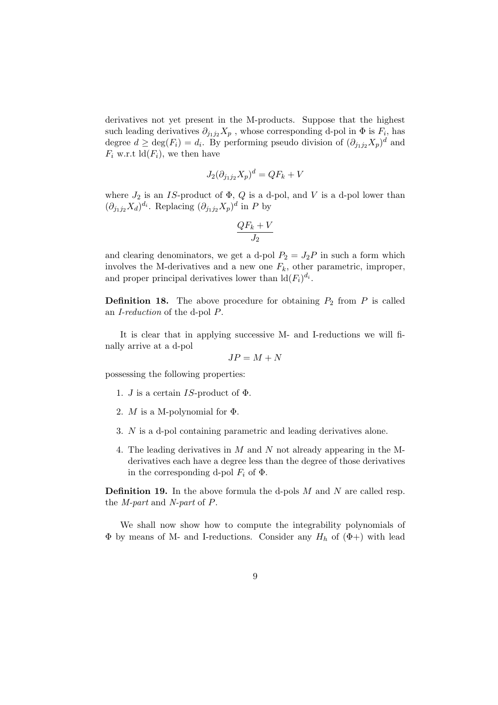derivatives not yet present in the M-products. Suppose that the highest such leading derivatives  $\partial_{j_1j_2}X_p$ , whose corresponding d-pol in  $\Phi$  is  $F_i$ , has degree  $d \ge \deg(F_i) = d_i$ . By performing pseudo division of  $(\partial_{j_1j_2}X_p)^d$  and  $F_i$  w.r.t  $ld(F_i)$ , we then have

$$
J_2(\partial_{j_1j_2}X_p)^d = QF_k + V
$$

where  $J_2$  is an IS-product of  $\Phi$ ,  $Q$  is a d-pol, and V is a d-pol lower than  $(\partial_{j_1j_2}X_d)^{d_i}$ . Replacing  $(\partial_{j_1j_2}X_p)^d$  in P by

$$
\frac{QF_k+V}{J_2}
$$

and clearing denominators, we get a d-pol  $P_2 = J_2P$  in such a form which involves the M-derivatives and a new one  $F_k$ , other parametric, improper, and proper principal derivatives lower than  $\mathrm{Id}(F_i)^{d_i}$ .

**Definition 18.** The above procedure for obtaining  $P_2$  from  $P$  is called an I-reduction of the d-pol P.

It is clear that in applying successive M- and I-reductions we will finally arrive at a d-pol

$$
JP=M+N
$$

possessing the following properties:

- 1. *J* is a certain *IS*-product of  $\Phi$ .
- 2. *M* is a M-polynomial for  $\Phi$ .
- 3. N is a d-pol containing parametric and leading derivatives alone.
- 4. The leading derivatives in M and N not already appearing in the Mderivatives each have a degree less than the degree of those derivatives in the corresponding d-pol  $F_i$  of  $\Phi$ .

**Definition 19.** In the above formula the d-pols  $M$  and  $N$  are called resp. the M-part and N-part of P.

We shall now show how to compute the integrability polynomials of  $\Phi$  by means of M- and I-reductions. Consider any  $H_h$  of  $(\Phi +)$  with lead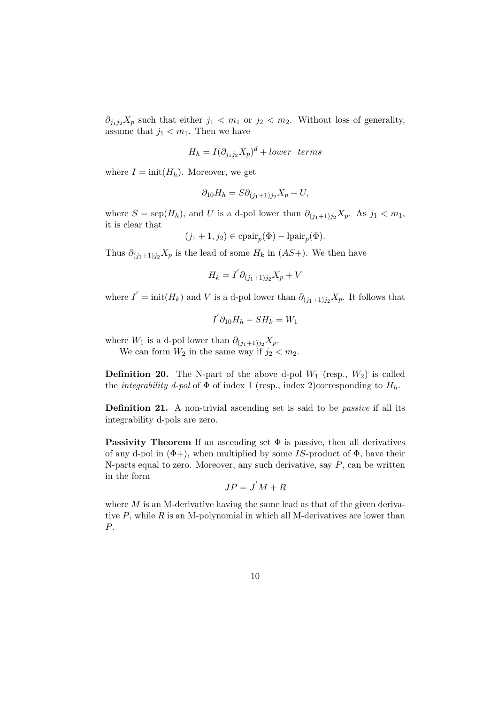$\partial_{j_1j_2}X_p$  such that either  $j_1 < m_1$  or  $j_2 < m_2$ . Without loss of generality, assume that  $j_1 < m_1$ . Then we have

$$
H_h = I(\partial_{j_1 j_2} X_p)^d + lower \ terms
$$

where  $I = \text{init}(H_h)$ . Moreover, we get

$$
\partial_{10}H_h = S\partial_{(j_1+1)j_2}X_p + U,
$$

where  $S = \text{sep}(H_h)$ , and U is a d-pol lower than  $\partial_{(j_1+1)j_2}X_p$ . As  $j_1 < m_1$ , it is clear that

$$
(j_1 + 1, j_2) \in \text{cpair}_p(\Phi) - \text{lpair}_p(\Phi).
$$

Thus  $\partial_{(j_1+1)j_2}X_p$  is the lead of some  $H_k$  in  $(AS+)$ . We then have

$$
H_k = I' \partial_{(j_1+1)j_2} X_p + V
$$

where  $I' = \text{init}(H_k)$  and V is a d-pol lower than  $\partial_{(j_1+1)j_2} X_p$ . It follows that

$$
I^{'}\partial_{10}H_h-SH_k=W_1
$$

where  $W_1$  is a d-pol lower than  $\partial_{(j_1+1)j_2}X_p$ .

We can form  $W_2$  in the same way if  $j_2 < m_2$ .

**Definition 20.** The N-part of the above d-pol  $W_1$  (resp.,  $W_2$ ) is called the *integrability d-pol* of  $\Phi$  of index 1 (resp., index 2)corresponding to  $H_h$ .

**Definition 21.** A non-trivial ascending set is said to be *passive* if all its integrability d-pols are zero.

**Passivity Theorem** If an ascending set  $\Phi$  is passive, then all derivatives of any d-pol in  $(\Phi +)$ , when multiplied by some IS-product of  $\Phi$ , have their N-parts equal to zero. Moreover, any such derivative, say  $P$ , can be written in the form

$$
JP=J'M+R
$$

where  $M$  is an M-derivative having the same lead as that of the given derivative  $P$ , while  $R$  is an M-polynomial in which all M-derivatives are lower than P.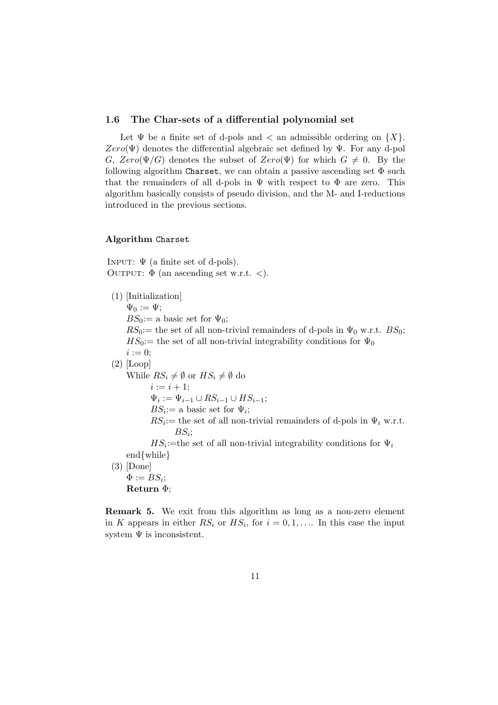#### 1.6 The Char-sets of a differential polynomial set

Let  $\Psi$  be a finite set of d-pols and  $\langle$  an admissible ordering on  $\{X\}$ .  $Zero(\Psi)$  denotes the differential algebraic set defined by  $\Psi$ . For any d-pol G,  $Zero(\Psi/G)$  denotes the subset of  $Zero(\Psi)$  for which  $G \neq 0$ . By the following algorithm Charset, we can obtain a passive ascending set  $\Phi$  such that the remainders of all d-pols in  $\Psi$  with respect to  $\Phi$  are zero. This algorithm basically consists of pseudo division, and the M- and I-reductions introduced in the previous sections.

#### Algorithm Charset

INPUT:  $\Psi$  (a finite set of d-pols). OUTPUT:  $\Phi$  (an ascending set w.r.t. <).

(1) [Initialization]  $\Psi_0 := \Psi$ :  $BS_0:=$  a basic set for  $\Psi_0$ ;  $RS_0:=$  the set of all non-trivial remainders of d-pols in  $\Psi_0$  w.r.t.  $BS_0$ ;  $HS_0:=$  the set of all non-trivial integrability conditions for  $\Psi_0$  $i := 0;$  $(2)$  [Loop] While  $RS_i \neq \emptyset$  or  $HS_i \neq \emptyset$  do  $i := i + 1;$  $\Psi_i := \Psi_{i-1} \cup RS_{i-1} \cup HS_{i-1};$  $BS_i :=$  a basic set for  $\Psi_i$ ;  $RS_i =$  the set of all non-trivial remainders of d-pols in  $\Psi_i$  w.r.t.  $BS_i;$  $HS_i$ :=the set of all non-trivial integrability conditions for  $\Psi_i$ end{while} (3) [Done]  $\Phi:=BS_i;$ Return Φ;

Remark 5. We exit from this algorithm as long as a non-zero element in K appears in either  $RS_i$  or  $HS_i$ , for  $i = 0, 1, \ldots$  In this case the input system  $\Psi$  is inconsistent.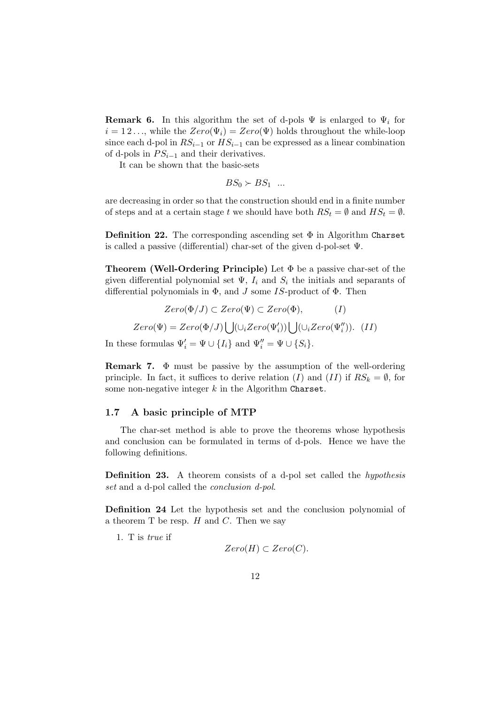**Remark 6.** In this algorithm the set of d-pols  $\Psi$  is enlarged to  $\Psi_i$  for  $i = 12 \dots$ , while the  $Zero(\Psi_i) = Zero(\Psi)$  holds throughout the while-loop since each d-pol in  $RS_{i-1}$  or  $HS_{i-1}$  can be expressed as a linear combination of d-pols in  $PS_{i-1}$  and their derivatives.

It can be shown that the basic-sets

$$
BS_0 \succ BS_1 \dots
$$

are decreasing in order so that the construction should end in a finite number of steps and at a certain stage t we should have both  $RS_t = \emptyset$  and  $HS_t = \emptyset$ .

**Definition 22.** The corresponding ascending set  $\Phi$  in Algorithm Charset is called a passive (differential) char-set of the given d-pol-set Ψ.

Theorem (Well-Ordering Principle) Let Φ be a passive char-set of the given differential polynomial set  $\Psi$ ,  $I_i$  and  $S_i$  the initials and separants of differential polynomials in  $\Phi$ , and J some IS-product of  $\Phi$ . Then

$$
Zero(\Phi/J) \subset Zero(\Psi) \subset Zero(\Phi), \qquad (I)
$$

$$
Zero(\Psi) = Zero(\Phi/J) \bigcup (\cup_i Zero(\Psi'_i)) \bigcup (\cup_i Zero(\Psi''_i)). \quad (II)
$$

In these formulas  $\Psi'_i = \Psi \cup \{I_i\}$  and  $\Psi''_i = \Psi \cup \{S_i\}.$ 

**Remark 7.**  $\Phi$  must be passive by the assumption of the well-ordering principle. In fact, it suffices to derive relation (I) and (II) if  $RS_k = \emptyset$ , for some non-negative integer  $k$  in the Algorithm Charset.

#### 1.7 A basic principle of MTP

The char-set method is able to prove the theorems whose hypothesis and conclusion can be formulated in terms of d-pols. Hence we have the following definitions.

Definition 23. A theorem consists of a d-pol set called the *hypothesis* set and a d-pol called the *conclusion d-pol*.

Definition 24 Let the hypothesis set and the conclusion polynomial of a theorem  $T$  be resp.  $H$  and  $C$ . Then we say

1. T is true if

$$
Zero(H) \subset Zero(C).
$$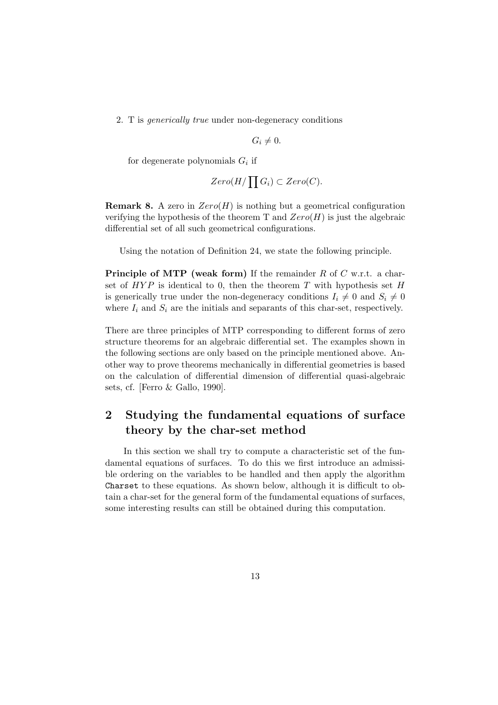2. T is generically true under non-degeneracy conditions

 $G_i \neq 0.$ 

for degenerate polynomials  $G_i$  if

$$
Zero(H/\prod G_i) \subset Zero(C).
$$

**Remark 8.** A zero in  $Zero(H)$  is nothing but a geometrical configuration verifying the hypothesis of the theorem T and  $Zero(H)$  is just the algebraic differential set of all such geometrical configurations.

Using the notation of Definition 24, we state the following principle.

**Principle of MTP (weak form)** If the remainder  $R$  of  $C$  w.r.t. a charset of  $HYP$  is identical to 0, then the theorem T with hypothesis set H is generically true under the non-degeneracy conditions  $I_i \neq 0$  and  $S_i \neq 0$ where  $I_i$  and  $S_i$  are the initials and separants of this char-set, respectively.

There are three principles of MTP corresponding to different forms of zero structure theorems for an algebraic differential set. The examples shown in the following sections are only based on the principle mentioned above. Another way to prove theorems mechanically in differential geometries is based on the calculation of differential dimension of differential quasi-algebraic sets, cf. [Ferro & Gallo, 1990].

# 2 Studying the fundamental equations of surface theory by the char-set method

In this section we shall try to compute a characteristic set of the fundamental equations of surfaces. To do this we first introduce an admissible ordering on the variables to be handled and then apply the algorithm Charset to these equations. As shown below, although it is difficult to obtain a char-set for the general form of the fundamental equations of surfaces, some interesting results can still be obtained during this computation.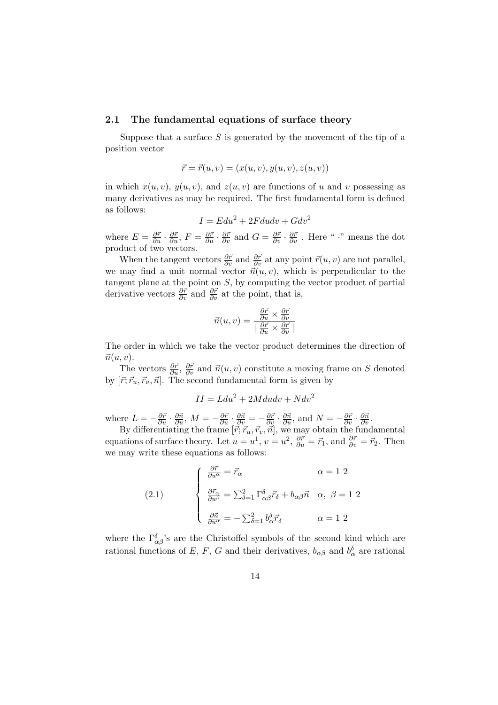#### 2.1 The fundamental equations of surface theory

Suppose that a surface  $S$  is generated by the movement of the tip of a position vector

$$
\vec{r} = \vec{r}(u, v) = (x(u, v), y(u, v), z(u, v))
$$

in which  $x(u, v)$ ,  $y(u, v)$ , and  $z(u, v)$  are functions of u and v possessing as many derivatives as may be required. The first fundamental form is defined as follows:

$$
I = Edu^2 + 2Fdudv + Gdv^2
$$

where  $E = \frac{\partial \vec{r}}{\partial u} \cdot \frac{\partial \vec{r}}{\partial u}$ ,  $F = \frac{\partial \vec{r}}{\partial u} \cdot \frac{\partial \vec{r}}{\partial v}$  and  $G = \frac{\partial \vec{r}}{\partial v} \cdot \frac{\partial \vec{r}}{\partial v}$ . Here " •" means the dot product of two vectors.

When the tangent vectors  $\frac{\partial \vec{r}}{\partial v}$  and  $\frac{\partial \vec{r}}{\partial v}$  at any point  $\vec{r}(u, v)$  are not parallel, we may find a unit normal vector  $\vec{n}(u, v)$ , which is perpendicular to the tangent plane at the point on  $S$ , by computing the vector product of partial derivative vectors  $\frac{\partial \vec{r}}{\partial v}$  and  $\frac{\partial \vec{r}}{\partial v}$  at the point, that is,

$$
\vec{n}(u,v) = \frac{\frac{\partial \vec{r}}{\partial u} \times \frac{\partial \vec{r}}{\partial v}}{\mid \frac{\partial \vec{r}}{\partial u} \times \frac{\partial \vec{r}}{\partial v} \mid}
$$

The order in which we take the vector product determines the direction of  $\vec{n}(u, v)$ .

The vectors  $\frac{\partial \vec{r}}{\partial u}$ ,  $\frac{\partial \vec{r}}{\partial v}$  and  $\vec{n}(u, v)$  constitute a moving frame on S denoted by  $[\vec{r}; \vec{r}_u, \vec{r}_v, \vec{n}]$ . The second fundamental form is given by

$$
II = Ldu^2 + 2Mdudv + Ndv^2
$$

where  $L = -\frac{\partial \vec{r}}{\partial u} \cdot \frac{\partial \vec{n}}{\partial u}$ ,  $M = -\frac{\partial \vec{r}}{\partial u} \cdot \frac{\partial \vec{n}}{\partial v} = -\frac{\partial \vec{r}}{\partial v} \cdot \frac{\partial \vec{n}}{\partial u}$ , and  $N = -\frac{\partial \vec{r}}{\partial v} \cdot \frac{\partial \vec{n}}{\partial v}$ .

By differentiating the frame  $[\vec{r}; \vec{r}_u, \vec{r}_v, \vec{n}]$ , we may obtain the fundamental equations of surface theory. Let  $u = u^1$ ,  $v = u^2$ ,  $\frac{\partial \vec{r}}{\partial u} = \vec{r}_1$ , and  $\frac{\partial \vec{r}}{\partial v} = \vec{r}_2$ . Then we may write these equations as follows:

(2.1) 
$$
\begin{cases} \frac{\partial \vec{r}}{\partial u^{\alpha}} = \vec{r}_{\alpha} & \alpha = 1 \ 2 \\ \frac{\partial \vec{r}_{\alpha}}{\partial u^{\beta}} = \sum_{\delta=1}^{2} \Gamma_{\alpha\beta}^{\delta} \vec{r}_{\delta} + b_{\alpha\beta} \vec{n} & \alpha, \ \beta = 1 \ 2 \\ \frac{\partial \vec{n}}{\partial u^{\alpha}} = -\sum_{\delta=1}^{2} b_{\alpha}^{\delta} \vec{r}_{\delta} & \alpha = 1 \ 2 \end{cases}
$$

where the  $\Gamma^{\delta}_{\alpha\beta}$ 's are the Christoffel symbols of the second kind which are rational functions of E, F, G and their derivatives,  $b_{\alpha\beta}$  and  $b_{\alpha}^{\delta}$  are rational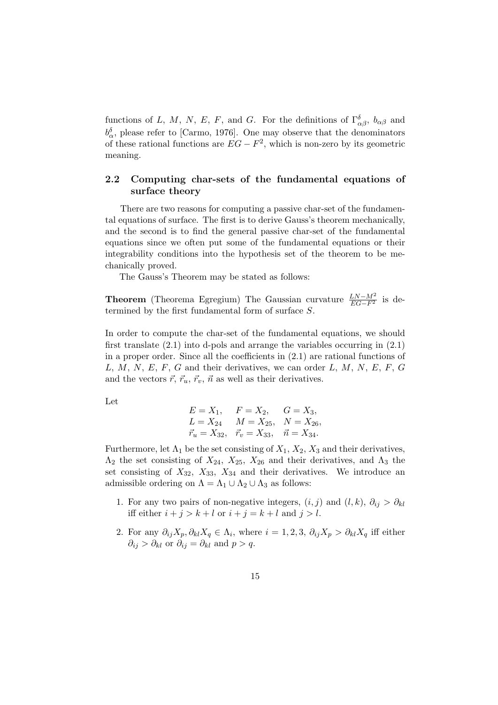functions of L, M, N, E, F, and G. For the definitions of  $\Gamma^{\delta}_{\alpha\beta}$ ,  $b_{\alpha\beta}$  and  $b_{\alpha}^{\delta}$ , please refer to [Carmo, 1976]. One may observe that the denominators of these rational functions are  $EG - F^2$ , which is non-zero by its geometric meaning.

### 2.2 Computing char-sets of the fundamental equations of surface theory

There are two reasons for computing a passive char-set of the fundamental equations of surface. The first is to derive Gauss's theorem mechanically, and the second is to find the general passive char-set of the fundamental equations since we often put some of the fundamental equations or their integrability conditions into the hypothesis set of the theorem to be mechanically proved.

The Gauss's Theorem may be stated as follows:

**Theorem** (Theorema Egregium) The Gaussian curvature  $\frac{LN-M^2}{EG-F^2}$  is determined by the first fundamental form of surface S.

In order to compute the char-set of the fundamental equations, we should first translate  $(2.1)$  into d-pols and arrange the variables occurring in  $(2.1)$ in a proper order. Since all the coefficients in (2.1) are rational functions of  $L, M, N, E, F, G$  and their derivatives, we can order  $L, M, N, E, F, G$ and the vectors  $\vec{r}, \vec{r}_u, \vec{r}_v, \vec{n}$  as well as their derivatives.

Let

$$
E = X_1, \tF = X_2, \tG = X_3, L = X_{24} \tM = X_{25}, \tN = X_{26}, \n\vec{r_u} = X_{32}, \vec{r_v} = X_{33}, \vec{n} = X_{34}.
$$

Furthermore, let  $\Lambda_1$  be the set consisting of  $X_1, X_2, X_3$  and their derivatives,  $\Lambda_2$  the set consisting of  $X_{24}$ ,  $X_{25}$ ,  $X_{26}$  and their derivatives, and  $\Lambda_3$  the set consisting of  $X_{32}$ ,  $X_{33}$ ,  $X_{34}$  and their derivatives. We introduce an admissible ordering on  $\Lambda = \Lambda_1 \cup \Lambda_2 \cup \Lambda_3$  as follows:

- 1. For any two pairs of non-negative integers,  $(i, j)$  and  $(l, k)$ ,  $\partial_{ij} > \partial_{kl}$ iff either  $i + j > k + l$  or  $i + j = k + l$  and  $j > l$ .
- 2. For any  $\partial_{ij}X_p, \partial_{kl}X_q \in \Lambda_i$ , where  $i = 1, 2, 3, \partial_{ij}X_p > \partial_{kl}X_q$  iff either  $\partial_{ij} > \partial_{kl}$  or  $\partial_{ij} = \partial_{kl}$  and  $p > q$ .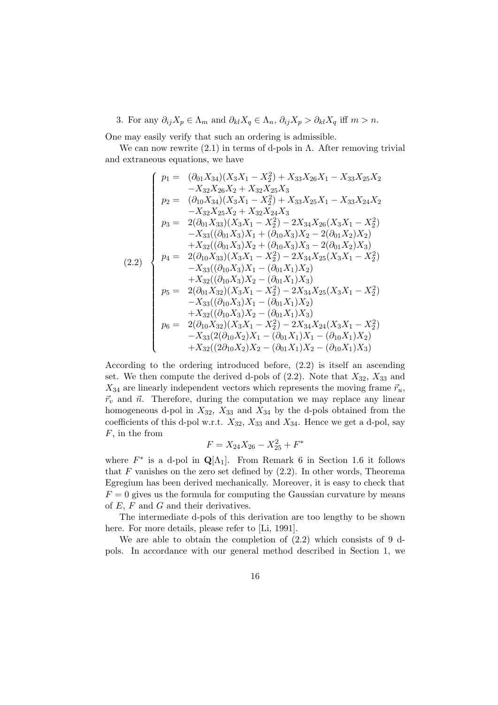3. For any  $\partial_{ij}X_p \in \Lambda_m$  and  $\partial_{kl}X_q \in \Lambda_n$ ,  $\partial_{ij}X_p > \partial_{kl}X_q$  iff  $m > n$ .

One may easily verify that such an ordering is admissible.

We can now rewrite  $(2.1)$  in terms of d-pols in  $\Lambda$ . After removing trivial and extraneous equations, we have

$$
(2.2)
$$
\n
$$
\begin{cases}\n p_1 = (\partial_{01} X_{34})(X_3 X_1 - X_2^2) + X_{33} X_{26} X_1 - X_{33} X_{25} X_2 \\
 - X_{32} X_{26} X_2 + X_{32} X_{25} X_3 \\
 p_2 = (\partial_{10} X_{34})(X_3 X_1 - X_2^2) + X_{33} X_{25} X_1 - X_{33} X_{24} X_2 \\
 - X_{32} X_{25} X_2 + X_{32} X_{24} X_3 \\
 p_3 = 2(\partial_{01} X_{33})(X_3 X_1 - X_2^2) - 2 X_{34} X_{26}(X_3 X_1 - X_2^2) \\
 - X_{33} ((\partial_{01} X_3) X_1 + (\partial_{10} X_3) X_2 - 2(\partial_{01} X_2) X_2) \\
 + X_{32} ((\partial_{01} X_3) X_2 + (\partial_{10} X_3) X_3 - 2(\partial_{01} X_2) X_3) \\
 p_4 = 2(\partial_{10} X_{33})(X_3 X_1 - X_2^2) - 2 X_{34} X_{25}(X_3 X_1 - X_2^2) \\
 - X_{33} ((\partial_{10} X_3) X_1 - (\partial_{01} X_1) X_2) \\
 + X_{32} ((\partial_{10} X_3) X_2 - (\partial_{01} X_1) X_3) \\
 p_5 = 2(\partial_{01} X_{32})(X_3 X_1 - X_2^2) - 2 X_{34} X_{25}(X_3 X_1 - X_2^2) \\
 - X_{33} ((\partial_{10} X_3) X_1 - (\partial_{01} X_1) X_2) \\
 + X_{32} ((\partial_{10} X_3) X_2 - (\partial_{01} X_1) X_3) \\
 p_6 = 2(\partial_{10} X_{32})(X_3 X_1 - X_2^2) - 2 X_{34} X_{24}(X_3 X_1 - X_2^2) \\
 - X_{33} (2(\partial_{10} X_2) X_1 - (\partial_{01} X_1) X_1 - (\partial_{10} X_1) X_2) \\
 + X_{32} ((2\partial_{10} X_2) X_2 - (\partial_{01} X_1) X_2 - (\partial_{10}
$$

According to the ordering introduced before, (2.2) is itself an ascending set. We then compute the derived d-pols of  $(2.2)$ . Note that  $X_{32}$ ,  $X_{33}$  and  $X_{34}$  are linearly independent vectors which represents the moving frame  $\vec{r}_u$ ,  $\vec{r}_v$  and  $\vec{n}$ . Therefore, during the computation we may replace any linear homogeneous d-pol in  $X_{32}$ ,  $X_{33}$  and  $X_{34}$  by the d-pols obtained from the coefficients of this d-pol w.r.t.  $X_{32}$ ,  $X_{33}$  and  $X_{34}$ . Hence we get a d-pol, say  $F$ , in the from

$$
F = X_{24}X_{26} - X_{25}^2 + F^*
$$

where  $F^*$  is a d-pol in  $\mathbf{Q}[\Lambda_1]$ . From Remark 6 in Section 1.6 it follows that  $F$  vanishes on the zero set defined by  $(2.2)$ . In other words, Theorema Egregium has been derived mechanically. Moreover, it is easy to check that  $F = 0$  gives us the formula for computing the Gaussian curvature by means of  $E, F$  and  $G$  and their derivatives.

The intermediate d-pols of this derivation are too lengthy to be shown here. For more details, please refer to [Li, 1991].

We are able to obtain the completion of (2.2) which consists of 9 dpols. In accordance with our general method described in Section 1, we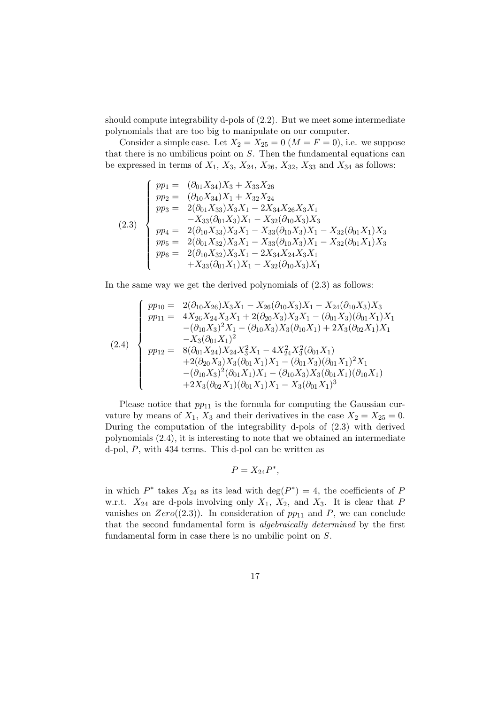should compute integrability d-pols of (2.2). But we meet some intermediate polynomials that are too big to manipulate on our computer.

Consider a simple case. Let  $X_2 = X_{25} = 0$  ( $M = F = 0$ ), i.e. we suppose that there is no umbilicus point on S. Then the fundamental equations can be expressed in terms of  $X_1, X_3, X_{24}, X_{26}, X_{32}, X_{33}$  and  $X_{34}$  as follows:

$$
(2.3)
$$
\n
$$
\begin{cases}\npp_1 = (\partial_{01}X_{34})X_3 + X_{33}X_{26} \\
pp_2 = (\partial_{10}X_{34})X_1 + X_{32}X_{24} \\
pp_3 = 2(\partial_{01}X_{33})X_3X_1 - 2X_{34}X_{26}X_3X_1 \\
-X_{33}(\partial_{01}X_3)X_1 - X_{32}(\partial_{10}X_3)X_3 \\
pp_4 = 2(\partial_{10}X_{33})X_3X_1 - X_{33}(\partial_{10}X_3)X_1 - X_{32}(\partial_{01}X_1)X_3 \\
pp_5 = 2(\partial_{01}X_{32})X_3X_1 - X_{33}(\partial_{10}X_3)X_1 - X_{32}(\partial_{01}X_1)X_3 \\
pp_6 = 2(\partial_{10}X_{32})X_3X_1 - 2X_{34}X_{24}X_3X_1 \\
+ X_{33}(\partial_{01}X_1)X_1 - X_{32}(\partial_{10}X_3)X_1\n\end{cases}
$$

In the same way we get the derived polynomials of (2.3) as follows:

$$
(2.4)
$$
\n
$$
pp_{10} = 2(\partial_{10}X_{26})X_3X_1 - X_{26}(\partial_{10}X_3)X_1 - X_{24}(\partial_{10}X_3)X_3
$$
\n
$$
pp_{11} = 4X_{26}X_{24}X_3X_1 + 2(\partial_{20}X_3)X_3X_1 - (\partial_{01}X_3)(\partial_{01}X_1)X_1
$$
\n
$$
-(\partial_{10}X_3)^2X_1 - (\partial_{10}X_3)X_3(\partial_{10}X_1) + 2X_3(\partial_{02}X_1)X_1
$$
\n
$$
-X_3(\partial_{01}X_1)^2
$$
\n
$$
pp_{12} = 8(\partial_{01}X_{24})X_{24}X_3^2X_1 - 4X_{24}^2X_3^2(\partial_{01}X_1)
$$
\n
$$
+2(\partial_{20}X_3)X_3(\partial_{01}X_1)X_1 - (\partial_{01}X_3)(\partial_{01}X_1)^2X_1
$$
\n
$$
-(\partial_{10}X_3)^2(\partial_{01}X_1)X_1 - (\partial_{10}X_3)X_3(\partial_{01}X_1)(\partial_{10}X_1)
$$
\n
$$
+2X_3(\partial_{02}X_1)(\partial_{01}X_1)X_1 - X_3(\partial_{01}X_1)^3
$$

Please notice that  $pp_{11}$  is the formula for computing the Gaussian curvature by means of  $X_1$ ,  $X_3$  and their derivatives in the case  $X_2 = X_{25} = 0$ . During the computation of the integrability d-pols of (2.3) with derived polynomials (2.4), it is interesting to note that we obtained an intermediate d-pol, P, with 434 terms. This d-pol can be written as

$$
P = X_{24}P^*,
$$

in which  $P^*$  takes  $X_{24}$  as its lead with  $\deg(P^*)=4$ , the coefficients of P w.r.t.  $X_{24}$  are d-pols involving only  $X_1$ ,  $X_2$ , and  $X_3$ . It is clear that P vanishes on  $Zero((2.3))$ . In consideration of  $pp_{11}$  and P, we can conclude that the second fundamental form is algebraically determined by the first fundamental form in case there is no umbilic point on S.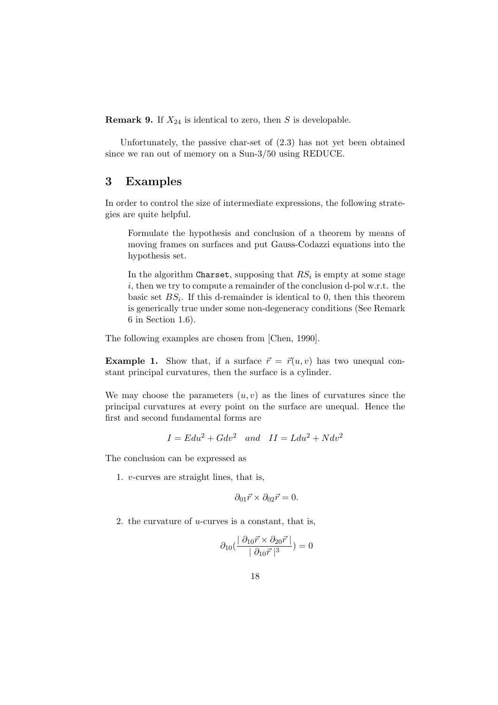**Remark 9.** If  $X_{24}$  is identical to zero, then S is developable.

Unfortunately, the passive char-set of (2.3) has not yet been obtained since we ran out of memory on a Sun-3/50 using REDUCE.

# 3 Examples

In order to control the size of intermediate expressions, the following strategies are quite helpful.

Formulate the hypothesis and conclusion of a theorem by means of moving frames on surfaces and put Gauss-Codazzi equations into the hypothesis set.

In the algorithm Charset, supposing that  $RS_i$  is empty at some stage i, then we try to compute a remainder of the conclusion d-pol w.r.t. the basic set  $BS_i$ . If this d-remainder is identical to 0, then this theorem is generically true under some non-degeneracy conditions (See Remark 6 in Section 1.6).

The following examples are chosen from [Chen, 1990].

**Example 1.** Show that, if a surface  $\vec{r} = \vec{r}(u, v)$  has two unequal constant principal curvatures, then the surface is a cylinder.

We may choose the parameters  $(u, v)$  as the lines of curvatures since the principal curvatures at every point on the surface are unequal. Hence the first and second fundamental forms are

$$
I = E du^2 + G dv^2 \quad and \quad II = L du^2 + N dv^2
$$

The conclusion can be expressed as

1. v-curves are straight lines, that is,

$$
\partial_{01}\vec{r} \times \partial_{02}\vec{r} = 0.
$$

2. the curvature of  $u$ -curves is a constant, that is,

$$
\partial_{10}\left(\frac{\partial_{10}\vec{r} \times \partial_{20}\vec{r}\,}{|\partial_{10}\vec{r}\,|^3}\right) = 0
$$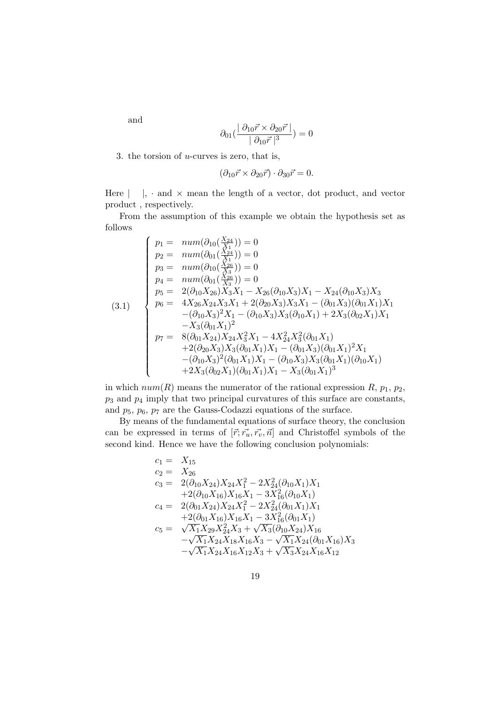and

$$
\partial_{01}(\frac{\mid\partial_{10}\vec{r}\times\partial_{20}\vec{r}\mid}{\mid\partial_{10}\vec{r}\mid^{3}})=0
$$

3. the torsion of  $u$ -curves is zero, that is,

$$
(\partial_{10}\vec{r} \times \partial_{20}\vec{r}) \cdot \partial_{30}\vec{r} = 0.
$$

Here  $| \, |$ ,  $\cdot$  and  $\times$  mean the length of a vector, dot product, and vector product , respectively.

From the assumption of this example we obtain the hypothesis set as follows  $\ddot{x}$ 

$$
(3.1)
$$
\n
$$
\begin{cases}\n p_1 = \ num(\partial_{10}(\frac{X_{24}}{X_1})) = 0 \\
 p_2 = \ num(\partial_{01}(\frac{X_{24}}{X_1})) = 0 \\
 p_3 = \ num(\partial_{10}(\frac{X_{26}}{X_3})) = 0 \\
 p_4 = \ num(\partial_{01}(\frac{X_{26}}{X_3})) = 0 \\
 p_5 = 2(\partial_{10}X_{26})X_3X_1 - X_{26}(\partial_{10}X_3)X_1 - X_{24}(\partial_{10}X_3)X_3 \\
 p_6 = 4X_{26}X_{24}X_3X_1 + 2(\partial_{20}X_3)X_3X_1 - (\partial_{01}X_3)(\partial_{01}X_1)X_1 \\
 -(\partial_{10}X_3)^2X_1 - (\partial_{10}X_3)X_3(\partial_{10}X_1) + 2X_3(\partial_{02}X_1)X_1 \\
 - X_3(\partial_{01}X_1)^2 \\
 p_7 = 8(\partial_{01}X_{24})X_{24}X_3^2X_1 - 4X_{24}^2X_3^2(\partial_{01}X_1) \\
 + 2(\partial_{20}X_3)X_3(\partial_{01}X_1)X_1 - (\partial_{10}X_3)(\partial_{01}X_1)^2X_1 \\
 -(\partial_{10}X_3)^2(\partial_{01}X_1)X_1 - (\partial_{10}X_3)X_3(\partial_{01}X_1)(\partial_{10}X_1) \\
 + 2X_3(\partial_{02}X_1)(\partial_{01}X_1)X_1 - X_3(\partial_{01}X_1)^3\n\end{cases}
$$

in which  $num(R)$  means the numerator of the rational expression  $R$ ,  $p_1$ ,  $p_2$ ,  $p_3$  and  $p_4$  imply that two principal curvatures of this surface are constants, and  $p_5$ ,  $p_6$ ,  $p_7$  are the Gauss-Codazzi equations of the surface.

By means of the fundamental equations of surface theory, the conclusion can be expressed in terms of  $[\vec{r}; \vec{r_u}, \vec{r_v}, \vec{n}]$  and Christoffel symbols of the second kind. Hence we have the following conclusion polynomials:

$$
c_1 = X_{15}
$$
  
\n
$$
c_2 = X_{26}
$$
  
\n
$$
c_3 = 2(\partial_{10}X_{24})X_{24}X_1^2 - 2X_{24}^2(\partial_{10}X_1)X_1
$$
  
\n
$$
+2(\partial_{10}X_{16})X_{16}X_1 - 3X_{16}^2(\partial_{10}X_1)
$$
  
\n
$$
c_4 = 2(\partial_{01}X_{24})X_{24}X_1^2 - 2X_{24}^2(\partial_{01}X_1)X_1
$$
  
\n
$$
+2(\partial_{01}X_{16})X_{16}X_1 - 3X_{16}^2(\partial_{01}X_1)
$$
  
\n
$$
c_5 = \sqrt{X_1}X_{29}X_{24}^2X_3 + \sqrt{X_3}(\partial_{10}X_{24})X_{16}
$$
  
\n
$$
-\sqrt{X_1}X_{24}X_{18}X_{16}X_3 - \sqrt{X_1}X_{24}(\partial_{01}X_{16})X_3
$$
  
\n
$$
-\sqrt{X_1}X_{24}X_{16}X_{12}X_3 + \sqrt{X_3}X_{24}X_{16}X_{12}
$$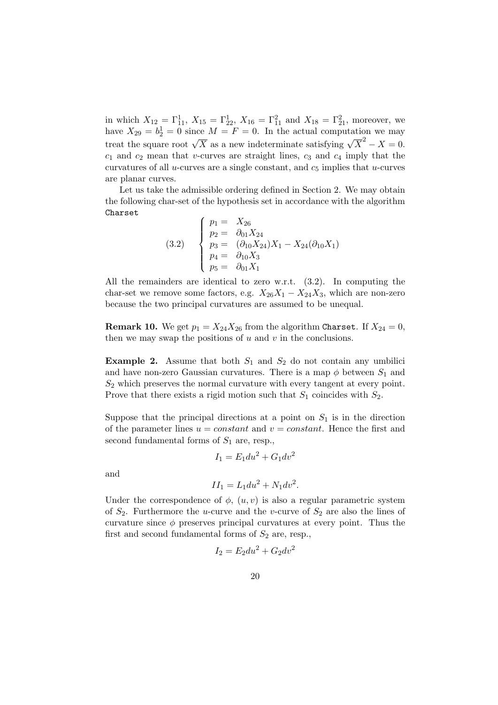in which  $X_{12} = \Gamma_{11}^1$ ,  $X_{15} = \Gamma_{22}^1$ ,  $X_{16} = \Gamma_{11}^2$  and  $X_{18} = \Gamma_{21}^2$ , moreover, we have  $X_{29} = b_2^1 = 0$  since  $M = F = 0$ . In the actual computation we may treat the square root  $\sqrt{X}$  as a new indeterminate satisfying  $\sqrt{X}^2 - X = 0$ .  $c_1$  and  $c_2$  mean that v-curves are straight lines,  $c_3$  and  $c_4$  imply that the curvatures of all  $u$ -curves are a single constant, and  $c_5$  implies that  $u$ -curves are planar curves.

Let us take the admissible ordering defined in Section 2. We may obtain the following char-set of the hypothesis set in accordance with the algorithm Charset

(3.2) 
$$
\begin{cases}\np_1 = X_{26} \\
p_2 = \partial_{01} X_{24} \\
p_3 = (\partial_{10} X_{24}) X_1 - X_{24} (\partial_{10} X_1) \\
p_4 = \partial_{10} X_3 \\
p_5 = \partial_{01} X_1\n\end{cases}
$$

All the remainders are identical to zero w.r.t. (3.2). In computing the char-set we remove some factors, e.g.  $X_{26}X_1 - X_{24}X_3$ , which are non-zero because the two principal curvatures are assumed to be unequal.

**Remark 10.** We get  $p_1 = X_{24}X_{26}$  from the algorithm Charset. If  $X_{24} = 0$ , then we may swap the positions of  $u$  and  $v$  in the conclusions.

**Example 2.** Assume that both  $S_1$  and  $S_2$  do not contain any umbiliciand have non-zero Gaussian curvatures. There is a map  $\phi$  between  $S_1$  and  $S_2$  which preserves the normal curvature with every tangent at every point. Prove that there exists a rigid motion such that  $S_1$  coincides with  $S_2$ .

Suppose that the principal directions at a point on  $S_1$  is in the direction of the parameter lines  $u = constant$  and  $v = constant$ . Hence the first and second fundamental forms of  $S_1$  are, resp.,

$$
I_1 = E_1 du^2 + G_1 dv^2
$$

and

$$
II_1 = L_1 du^2 + N_1 dv^2.
$$

Under the correspondence of  $\phi$ ,  $(u, v)$  is also a regular parametric system of  $S_2$ . Furthermore the *u*-curve and the *v*-curve of  $S_2$  are also the lines of curvature since  $\phi$  preserves principal curvatures at every point. Thus the first and second fundamental forms of  $S_2$  are, resp.,

$$
I_2 = E_2 du^2 + G_2 dv^2
$$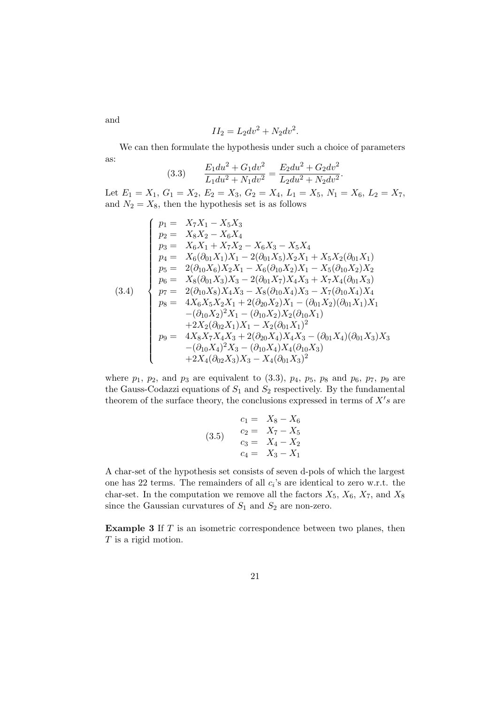$$
II_2 = L_2 dv^2 + N_2 dv^2.
$$

We can then formulate the hypothesis under such a choice of parameters as:

(3.3) 
$$
\frac{E_1 du^2 + G_1 dv^2}{L_1 du^2 + N_1 dv^2} = \frac{E_2 du^2 + G_2 dv^2}{L_2 du^2 + N_2 dv^2}.
$$

Let  $E_1 = X_1, G_1 = X_2, E_2 = X_3, G_2 = X_4, L_1 = X_5, N_1 = X_6, L_2 = X_7,$ and  $N_2 = X_8$ , then the hypothesis set is as follows

$$
(3.4)
$$
\n
$$
\begin{cases}\n p_1 = X_7X_1 - X_5X_3 \\
 p_2 = X_8X_2 - X_6X_4 \\
 p_3 = X_6X_1 + X_7X_2 - X_6X_3 - X_5X_4 \\
 p_4 = X_6(\partial_{01}X_1)X_1 - 2(\partial_{01}X_5)X_2X_1 + X_5X_2(\partial_{01}X_1) \\
 p_5 = 2(\partial_{10}X_6)X_2X_1 - X_6(\partial_{10}X_2)X_1 - X_5(\partial_{10}X_2)X_2 \\
 p_6 = X_8(\partial_{01}X_3)X_3 - 2(\partial_{01}X_7)X_4X_3 + X_7X_4(\partial_{01}X_3) \\
 p_7 = 2(\partial_{10}X_8)X_4X_3 - X_8(\partial_{10}X_4)X_3 - X_7(\partial_{10}X_4)X_4 \\
 p_8 = 4X_6X_5X_2X_1 + 2(\partial_{20}X_2)X_1 - (\partial_{01}X_2)(\partial_{01}X_1)X_1 \\
-(\partial_{10}X_2)^2X_1 - (\partial_{10}X_2)X_2(\partial_{10}X_1) \\
+2X_2(\partial_{02}X_1)X_1 - X_2(\partial_{01}X_1)^2 \\
 p_9 = 4X_8X_7X_4X_3 + 2(\partial_{20}X_4)X_4X_3 - (\partial_{01}X_4)(\partial_{01}X_3)X_3 \\
-(\partial_{10}X_4)^2X_3 - (\partial_{10}X_4)X_4(\partial_{10}X_3) \\
+2X_4(\partial_{02}X_3)X_3 - X_4(\partial_{01}X_3)^2\n\end{cases}
$$

where  $p_1$ ,  $p_2$ , and  $p_3$  are equivalent to  $(3.3)$ ,  $p_4$ ,  $p_5$ ,  $p_8$  and  $p_6$ ,  $p_7$ ,  $p_9$  are the Gauss-Codazzi equations of  $S_1$  and  $S_2$  respectively. By the fundamental theorem of the surface theory, the conclusions expressed in terms of  $X's$  are

(3.5) 
$$
c_1 = X_8 - X_6
$$

$$
c_2 = X_7 - X_5
$$

$$
c_3 = X_4 - X_2
$$

$$
c_4 = X_3 - X_1
$$

A char-set of the hypothesis set consists of seven d-pols of which the largest one has 22 terms. The remainders of all  $c_i$ 's are identical to zero w.r.t. the char-set. In the computation we remove all the factors  $X_5$ ,  $X_6$ ,  $X_7$ , and  $X_8$ since the Gaussian curvatures of  $S_1$  and  $S_2$  are non-zero.

**Example 3** If  $T$  is an isometric correspondence between two planes, then T is a rigid motion.

and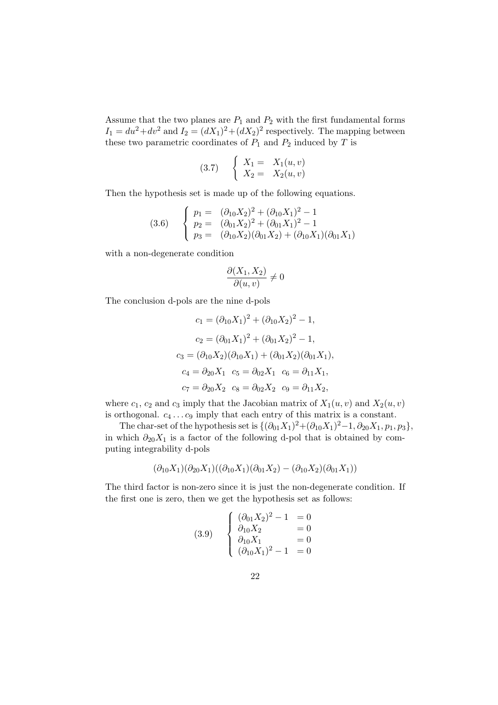Assume that the two planes are  $P_1$  and  $P_2$  with the first fundamental forms  $I_1 = du^2 + dv^2$  and  $I_2 = (dX_1)^2 + (dX_2)^2$  respectively. The mapping between these two parametric coordinates of  $P_1$  and  $P_2$  induced by T is

$$
(3.7) \quad\n\begin{cases}\nX_1 = X_1(u, v) \\
X_2 = X_2(u, v)\n\end{cases}
$$

Then the hypothesis set is made up of the following equations.

$$
(3.6) \quad\n\begin{cases}\n p_1 = \ (\partial_{10} X_2)^2 + (\partial_{10} X_1)^2 - 1 \\
 p_2 = (\partial_{01} X_2)^2 + (\partial_{01} X_1)^2 - 1 \\
 p_3 = (\partial_{10} X_2)(\partial_{01} X_2) + (\partial_{10} X_1)(\partial_{01} X_1)\n\end{cases}
$$

with a non-degenerate condition

$$
\frac{\partial(X_1, X_2)}{\partial(u, v)} \neq 0
$$

The conclusion d-pols are the nine d-pols

$$
c_1 = (\partial_{10} X_1)^2 + (\partial_{10} X_2)^2 - 1,
$$
  
\n
$$
c_2 = (\partial_{01} X_1)^2 + (\partial_{01} X_2)^2 - 1,
$$
  
\n
$$
c_3 = (\partial_{10} X_2)(\partial_{10} X_1) + (\partial_{01} X_2)(\partial_{01} X_1),
$$
  
\n
$$
c_4 = \partial_{20} X_1 \quad c_5 = \partial_{02} X_1 \quad c_6 = \partial_{11} X_1,
$$
  
\n
$$
c_7 = \partial_{20} X_2 \quad c_8 = \partial_{02} X_2 \quad c_9 = \partial_{11} X_2,
$$

where  $c_1$ ,  $c_2$  and  $c_3$  imply that the Jacobian matrix of  $X_1(u, v)$  and  $X_2(u, v)$ is orthogonal.  $c_4 \ldots c_9$  imply that each entry of this matrix is a constant.

The char-set of the hypothesis set is  $\{(\partial_{01}X_1)^2 + (\partial_{10}X_1)^2 - 1, \partial_{20}X_1, p_1, p_3\},\$ in which  $\partial_{20}X_1$  is a factor of the following d-pol that is obtained by computing integrability d-pols

$$
(\partial_{10}X_1)(\partial_{20}X_1)((\partial_{10}X_1)(\partial_{01}X_2) - (\partial_{10}X_2)(\partial_{01}X_1))
$$

The third factor is non-zero since it is just the non-degenerate condition. If the first one is zero, then we get the hypothesis set as follows:

(3.9) 
$$
\begin{cases} (\partial_{01}X_2)^2 - 1 = 0 \\ \partial_{10}X_2 = 0 \\ \partial_{10}X_1 = 0 \\ (\partial_{10}X_1)^2 - 1 = 0 \end{cases}
$$